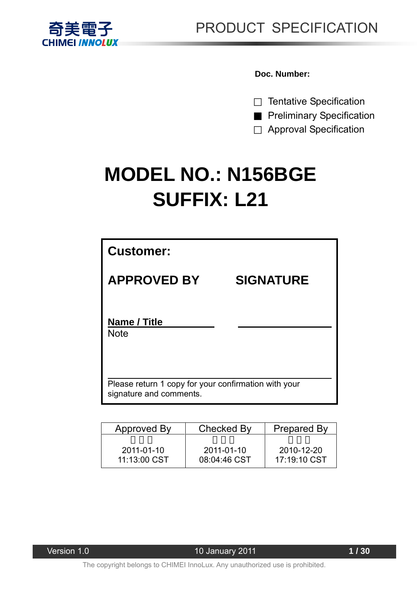

**Doc. Number:** 

Tentative Specification **Preliminary Specification** Approval Specification

# **MODEL NO.: N156BGE SUFFIX: L21**

| <b>Customer:</b>                                                                |                  |
|---------------------------------------------------------------------------------|------------------|
| <b>APPROVED BY</b>                                                              | <b>SIGNATURE</b> |
| Name / Title<br><b>Note</b>                                                     |                  |
| Please return 1 copy for your confirmation with your<br>signature and comments. |                  |

| Approved By  | Checked By   |              |  |
|--------------|--------------|--------------|--|
| 2011-01-10   | 2011-01-10   | 2010-12-20   |  |
| 11:13:00 CST | 08:04:46 CST | 17:19:10 CST |  |

| Version 1.0 |
|-------------|
|-------------|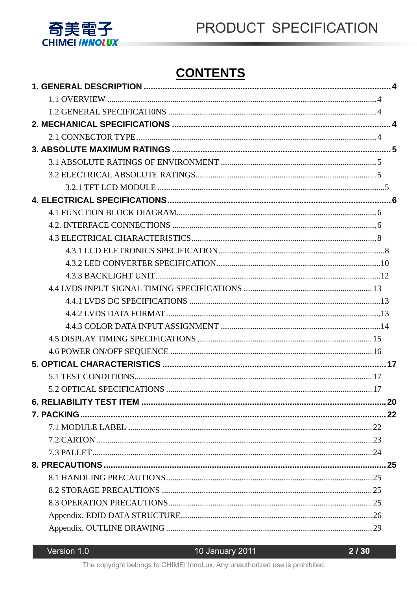

# **CONTENTS**

10 January 2011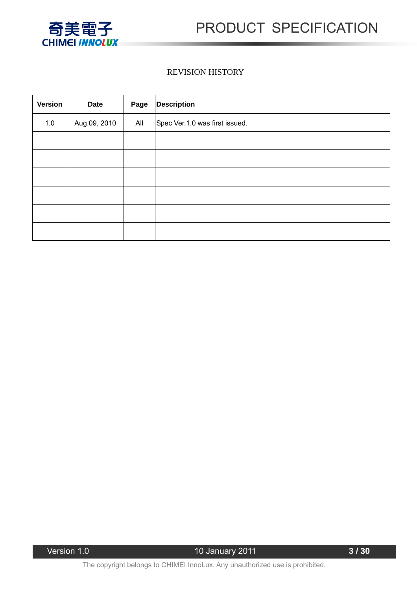

#### REVISION HISTORY

| <b>Version</b> | <b>Date</b>  | Page | <b>Description</b>             |
|----------------|--------------|------|--------------------------------|
| $1.0$          | Aug.09, 2010 | All  | Spec Ver.1.0 was first issued. |
|                |              |      |                                |
|                |              |      |                                |
|                |              |      |                                |
|                |              |      |                                |
|                |              |      |                                |
|                |              |      |                                |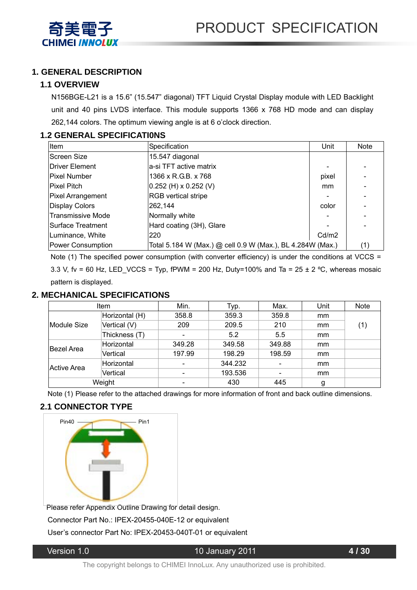



#### **1. GENERAL DESCRIPTION**

#### **1.1 OVERVIEW**

 N156BGE-L21 is a 15.6" (15.547" diagonal) TFT Liquid Crystal Display module with LED Backlight unit and 40 pins LVDS interface. This module supports 1366 x 768 HD mode and can display 262,144 colors. The optimum viewing angle is at 6 o'clock direction.

#### **1.2 GENERAL SPECIFICATI0NS**

| Item                     | Specification                                              | Unit  | Note |
|--------------------------|------------------------------------------------------------|-------|------|
| Screen Size              | 15.547 diagonal                                            |       |      |
| Driver Element           | a-si TFT active matrix                                     |       |      |
| <b>Pixel Number</b>      | 1366 x R.G.B. x 768                                        | pixel |      |
| <b>Pixel Pitch</b>       | $0.252$ (H) x 0.252 (V)                                    | mm    |      |
| <b>Pixel Arrangement</b> | <b>RGB</b> vertical stripe                                 |       |      |
| <b>Display Colors</b>    | 262,144                                                    | color |      |
| Transmissive Mode        | Normally white                                             |       |      |
| Surface Treatment        | Hard coating (3H), Glare                                   |       |      |
| Luminance, White         | 220                                                        | Cd/m2 |      |
| <b>Power Consumption</b> | Total 5.184 W (Max.) @ cell 0.9 W (Max.), BL 4.284W (Max.) |       | (1)  |

Note (1) The specified power consumption (with converter efficiency) is under the conditions at VCCS = 3.3 V, fv = 60 Hz, LED\_VCCS = Typ, fPWM = 200 Hz, Duty=100% and Ta =  $25 \pm 2$  °C, whereas mosaic pattern is displayed.

#### **2. MECHANICAL SPECIFICATIONS**

| <b>Item</b> |                | Min.                     | Typ.    | Max.   | Unit | <b>Note</b> |
|-------------|----------------|--------------------------|---------|--------|------|-------------|
|             | Horizontal (H) | 358.8                    | 359.3   | 359.8  | mm   |             |
| Module Size | Vertical (V)   | 209                      | 209.5   | 210    | mm   | (1)         |
|             | Thickness (T)  |                          | 5.2     | 5.5    | mm   |             |
| lBezel Area | Horizontal     | 349.28                   | 349.58  | 349.88 | mm   |             |
|             | Vertical       | 197.99                   | 198.29  | 198.59 | mm   |             |
| Active Area | Horizontal     | $\overline{\phantom{0}}$ | 344.232 |        | mm   |             |
|             | Vertical       | $\overline{\phantom{a}}$ | 193.536 |        | mm   |             |
|             | Weight         | $\overline{\phantom{a}}$ | 430     | 445    | g    |             |

Note (1) Please refer to the attached drawings for more information of front and back outline dimensions.

#### **2.1 CONNECTOR TYPE**



Please refer Appendix Outline Drawing for detail design.

Connector Part No.: IPEX-20455-040E-12 or equivalent

User's connector Part No: IPEX-20453-040T-01 or equivalent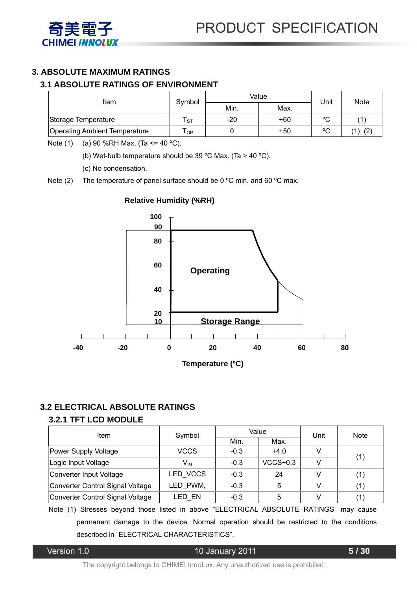

#### **3. ABSOLUTE MAXIMUM RATINGS**

#### **3.1 ABSOLUTE RATINGS OF ENVIRONMENT**

| Item                                 | Symbol     | Value | Unit  | Note        |                |  |
|--------------------------------------|------------|-------|-------|-------------|----------------|--|
|                                      |            | Min.  | Max.  |             |                |  |
| Storage Temperature                  | <b>ST</b>  | $-20$ | $+60$ | $\sim$<br>ັ | $\overline{1}$ |  |
| <b>Operating Ambient Temperature</b> | $\cdot$ OP |       | $+50$ | °C          | 1), (2)        |  |

Note (1) (a) 90 %RH Max. (Ta <= 40 °C).

(b) Wet-bulb temperature should be 39 °C Max. (Ta > 40 °C).

(c) No condensation.

Note (2) The temperature of panel surface should be 0  $\degree$ C min. and 60  $\degree$ C max.



# **3.2 ELECTRICAL ABSOLUTE RATINGS**

#### **3.2.1 TFT LCD MODULE**

| Item                             | Symbol          |        | Value      | Unit | <b>Note</b> |  |
|----------------------------------|-----------------|--------|------------|------|-------------|--|
|                                  |                 | Min.   | Max.       |      |             |  |
| Power Supply Voltage             | VCCS            | $-0.3$ | $+4.0$     |      |             |  |
| Logic Input Voltage              | $V_{\text{IN}}$ | $-0.3$ | $VCCS+0.3$ |      | (1)         |  |
| Converter Input Voltage          | LED VCCS        | $-0.3$ | 24         |      |             |  |
| Converter Control Signal Voltage | LED_PWM,        | $-0.3$ |            |      |             |  |
| Converter Control Signal Voltage | LED EN          | $-0.3$ |            |      |             |  |

Note (1) Stresses beyond those listed in above "ELECTRICAL ABSOLUTE RATINGS" may cause permanent damage to the device. Normal operation should be restricted to the conditions described in "ELECTRICAL CHARACTERISTICS".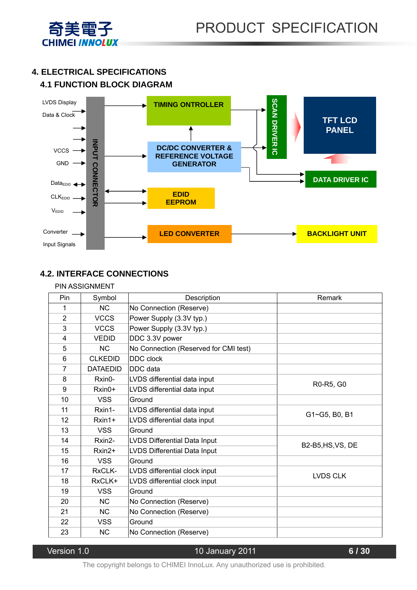

#### **4. ELECTRICAL SPECIFICATIONS 4.1 FUNCTION BLOCK DIAGRAM**



#### **4.2. INTERFACE CONNECTIONS**

#### PIN ASSIGNMENT

| Pin            | Symbol          | Description                           | Remark            |
|----------------|-----------------|---------------------------------------|-------------------|
| 1              | <b>NC</b>       | No Connection (Reserve)               |                   |
| $\overline{2}$ | <b>VCCS</b>     | Power Supply (3.3V typ.)              |                   |
| 3              | <b>VCCS</b>     | Power Supply (3.3V typ.)              |                   |
| 4              | <b>VEDID</b>    | DDC 3.3V power                        |                   |
| 5              | <b>NC</b>       | No Connection (Reserved for CMI test) |                   |
| 6              | <b>CLKEDID</b>  | <b>DDC</b> clock                      |                   |
| $\overline{7}$ | <b>DATAEDID</b> | <b>DDC</b> data                       |                   |
| 8              | Rxin0-          | LVDS differential data input          | R0-R5, G0         |
| 9              | Rxin0+          | LVDS differential data input          |                   |
| 10             | <b>VSS</b>      | Ground                                |                   |
| 11             | Rxin1-          | LVDS differential data input          |                   |
| 12             | Rxin1+          | LVDS differential data input          | G1~G5, B0, B1     |
| 13             | <b>VSS</b>      | Ground                                |                   |
| 14             | Rxin2-          | LVDS Differential Data Input          | B2-B5, HS, VS, DE |
| 15             | Rxin2+          | LVDS Differential Data Input          |                   |
| 16             | <b>VSS</b>      | Ground                                |                   |
| 17             | RxCLK-          | LVDS differential clock input         | <b>LVDS CLK</b>   |
| 18             | RxCLK+          | LVDS differential clock input         |                   |
| 19             | <b>VSS</b>      | Ground                                |                   |
| 20             | <b>NC</b>       | No Connection (Reserve)               |                   |
| 21             | <b>NC</b>       | No Connection (Reserve)               |                   |
| 22             | <b>VSS</b>      | Ground                                |                   |
| 23             | NC              | No Connection (Reserve)               |                   |

#### Version 1.0 10 January 2011 **6 / 30**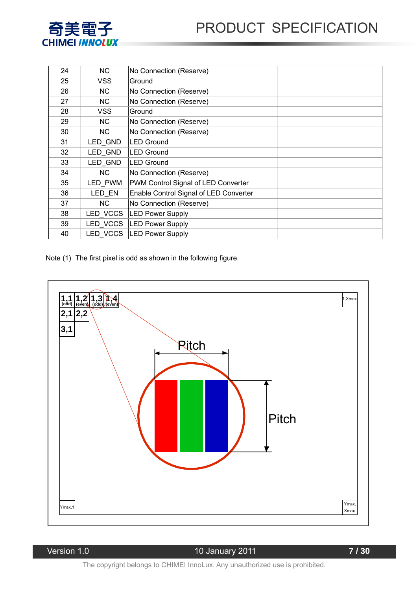

| 24 | NC.        | No Connection (Reserve)                |  |
|----|------------|----------------------------------------|--|
| 25 | <b>VSS</b> | Ground                                 |  |
| 26 | NC         | No Connection (Reserve)                |  |
| 27 | <b>NC</b>  | No Connection (Reserve)                |  |
| 28 | <b>VSS</b> | Ground                                 |  |
| 29 | <b>NC</b>  | No Connection (Reserve)                |  |
| 30 | NC.        | No Connection (Reserve)                |  |
| 31 | LED GND    | <b>LED Ground</b>                      |  |
| 32 | LED GND    | <b>LED Ground</b>                      |  |
| 33 | LED GND    | LED Ground                             |  |
| 34 | NC         | No Connection (Reserve)                |  |
| 35 | LED PWM    | PWM Control Signal of LED Converter    |  |
| 36 | LED EN     | Enable Control Signal of LED Converter |  |
| 37 | <b>NC</b>  | No Connection (Reserve)                |  |
| 38 |            | LED_VCCS LED Power Supply              |  |
| 39 |            | LED VCCS LED Power Supply              |  |
| 40 |            | LED VCCS LED Power Supply              |  |

Note (1) The first pixel is odd as shown in the following figure.

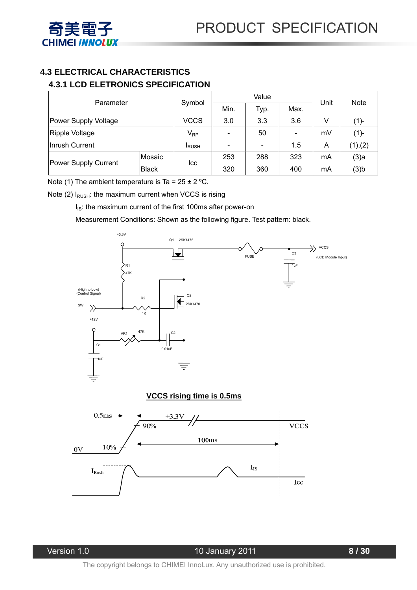

### **4.3 ELECTRICAL CHARACTERISTICS**

#### **4.3.1 LCD ELETRONICS SPECIFICATION**

| Parameter            |              | Symbol       | Value |                          |      | Unit | <b>Note</b>        |
|----------------------|--------------|--------------|-------|--------------------------|------|------|--------------------|
|                      |              |              | Min.  | Typ.                     | Max. |      |                    |
| Power Supply Voltage |              | <b>VCCS</b>  | 3.0   | 3.3                      | 3.6  |      | $(1)$ -            |
| Ripple Voltage       |              | $V_{RP}$     |       | 50                       |      | mV   | $(1)$ -            |
| Inrush Current       |              | <b>IRUSH</b> | -     | $\overline{\phantom{0}}$ | 1.5  | Α    | (1),(2)            |
| Mosaic               |              | <b>Icc</b>   | 253   | 288                      | 323  | mA   | $(3)$ a            |
| Power Supply Current | <b>Black</b> |              | 320   | 360                      | 400  | mA   | $(3)$ <sub>b</sub> |

Note (1) The ambient temperature is Ta =  $25 \pm 2$  °C.

Note (2)  $I_{RUSH}$ : the maximum current when VCCS is rising

I<sub>IS</sub>: the maximum current of the first 100ms after power-on

Measurement Conditions: Shown as the following figure. Test pattern: black.



#### **VCCS rising time is 0.5ms**

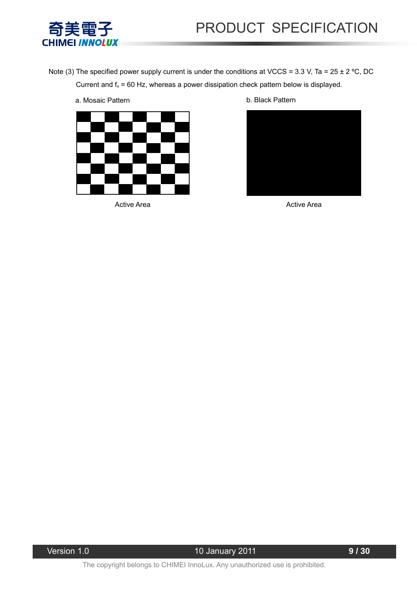

- Note (3) The specified power supply current is under the conditions at VCCS = 3.3 V, Ta = 25 ± 2 °C, DC Current and  $f_v$  = 60 Hz, whereas a power dissipation check pattern below is displayed.
	- a. Mosaic Pattern



Active Area

b. Black Pattern



Active Area

Version 1.0 10 January 2011 **9 / 30**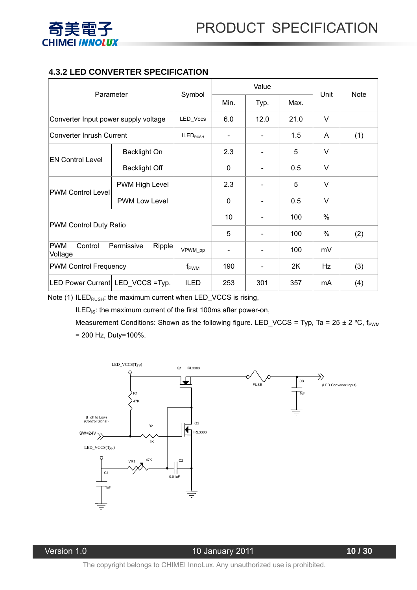

#### **4.3.2 LED CONVERTER SPECIFICATION**

|                                      | Parameter                   |                  |                          | Value                        | Unit | <b>Note</b>   |     |
|--------------------------------------|-----------------------------|------------------|--------------------------|------------------------------|------|---------------|-----|
|                                      |                             | Symbol           | Min.                     | Typ.                         | Max. |               |     |
| Converter Input power supply voltage |                             | LED_Vccs         | 6.0                      | 12.0                         | 21.0 | $\vee$        |     |
| <b>Converter Inrush Current</b>      |                             | <b>ILED</b> RUSH |                          |                              | 1.5  | A             | (1) |
| <b>EN Control Level</b>              | <b>Backlight On</b>         |                  | 2.3                      | $\qquad \qquad \blacksquare$ | 5    | $\vee$        |     |
|                                      | <b>Backlight Off</b>        |                  | $\mathbf{0}$             | $\overline{\phantom{a}}$     | 0.5  | $\vee$        |     |
|                                      | PWM High Level              |                  | 2.3                      |                              | 5    | $\vee$        |     |
| <b>PWM Control Level</b>             | <b>PWM Low Level</b>        |                  | $\mathbf{0}$             |                              | 0.5  | $\vee$        |     |
|                                      |                             |                  | 10                       | $\overline{\phantom{a}}$     | 100  | $\frac{0}{0}$ |     |
| <b>PWM Control Duty Ratio</b>        |                             |                  | 5                        | $\overline{\phantom{a}}$     | 100  | %             | (2) |
| PWM<br>Control<br>Voltage            | Permissive<br><b>Ripple</b> | VPWM_pp          |                          |                              | 100  | mV            |     |
| <b>PWM Control Frequency</b>         | $f_{\rm PWM}$               | 190              | $\overline{\phantom{a}}$ | 2K                           | Hz   | (3)           |     |
| LED Power Current LED_VCCS = Typ.    |                             | <b>ILED</b>      | 253                      | 301                          | 357  | mA            | (4) |

Note (1) ILED<sub>RUSH</sub>: the maximum current when LED\_VCCS is rising,

ILED<sub>IS</sub>: the maximum current of the first 100ms after power-on,

Measurement Conditions: Shown as the following figure. LED\_VCCS = Typ, Ta = 25 ± 2 °C,  $f_{PWM}$ = 200 Hz, Duty=100%.

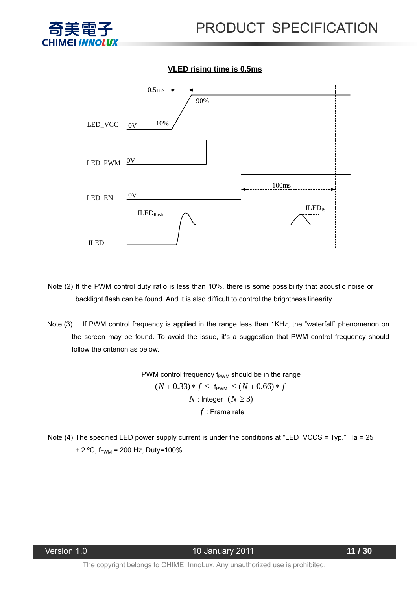![](_page_10_Picture_0.jpeg)

#### **VLED rising time is 0.5ms**

![](_page_10_Figure_3.jpeg)

- Note (2) If the PWM control duty ratio is less than 10%, there is some possibility that acoustic noise or backlight flash can be found. And it is also difficult to control the brightness linearity.
- Note (3) If PWM control frequency is applied in the range less than 1KHz, the "waterfall" phenomenon on the screen may be found. To avoid the issue, it's a suggestion that PWM control frequency should follow the criterion as below.

PWM control frequency  $f_{\text{PWM}}$  should be in the range  $(N + 0.33) * f \leq f_{\text{PWM}} \leq (N + 0.66) * f$ *N* : Integer  $(N \ge 3)$ *f* : Frame rate

Note (4) The specified LED power supply current is under the conditions at "LED\_VCCS = Typ.", Ta = 25  $\pm$  2 °C, f<sub>PWM</sub> = 200 Hz, Duty=100%.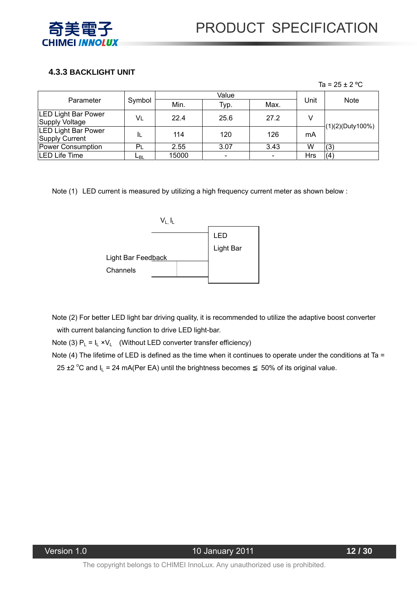![](_page_11_Picture_0.jpeg)

#### **4.3.3 BACKLIGHT UNIT**

|                                                     |        |       |       |      |            | Ta = $25 \pm 2$ °C |
|-----------------------------------------------------|--------|-------|-------|------|------------|--------------------|
|                                                     |        |       | Value |      |            |                    |
| Parameter                                           | Symbol | Min.  | Typ.  | Max. | Unit       | <b>Note</b>        |
| <b>LED Light Bar Power</b><br>Supply Voltage        | VL     | 22.4  | 25.6  | 27.2 |            |                    |
| <b>LED Light Bar Power</b><br><b>Supply Current</b> | Iι     | 114   | 120   | 126  | mA         | (1)(2)(Duty100%)   |
| Power Consumption                                   | PL     | 2.55  | 3.07  | 3.43 | W          | (3)                |
| <b>LED Life Time</b>                                | ∟в∟    | 15000 |       |      | <b>Hrs</b> | (4)                |

Note (1) LED current is measured by utilizing a high frequency current meter as shown below :

![](_page_11_Figure_5.jpeg)

Note (2) For better LED light bar driving quality, it is recommended to utilize the adaptive boost converter with current balancing function to drive LED light-bar.

Note (3)  $P_L = I_L \times V_L$  (Without LED converter transfer efficiency)

Note (4) The lifetime of LED is defined as the time when it continues to operate under the conditions at Ta = 25  $\pm$ 2 °C and  $I_L$  = 24 mA(Per EA) until the brightness becomes 50% of its original value.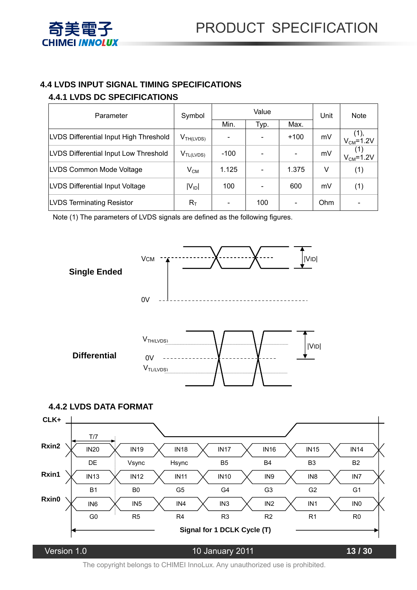![](_page_12_Picture_0.jpeg)

#### **4.4 LVDS INPUT SIGNAL TIMING SPECIFICATIONS 4.4.1 LVDS DC SPECIFICATIONS**

| Parameter                              | Symbol         |        | Value | Unit   | <b>Note</b> |                               |
|----------------------------------------|----------------|--------|-------|--------|-------------|-------------------------------|
|                                        |                | Min.   | Typ.  | Max.   |             |                               |
| LVDS Differential Input High Threshold | $V_{TH(LVDS)}$ |        |       | $+100$ | mV          | (1),<br>V <sub>CM</sub> =1.2V |
| LVDS Differential Input Low Threshold  | $V_{TL(LVDS)}$ | $-100$ |       |        | mV          | $V_{CM} = 1.2V$               |
| LVDS Common Mode Voltage               | $V_{CM}$       | 1.125  |       | 1.375  | v           | (1)                           |
| LVDS Differential Input Voltage        | $ V_{ID} $     | 100    |       | 600    | mV          | (1)                           |
| <b>LVDS Terminating Resistor</b>       | $R_T$          |        | 100   |        | Ohm         |                               |

Note (1) The parameters of LVDS signals are defined as the following figures.

![](_page_12_Figure_5.jpeg)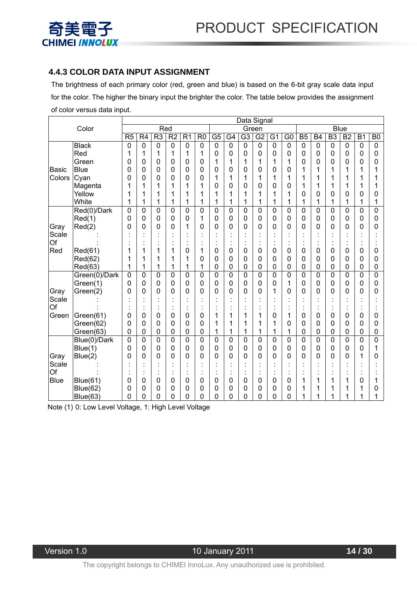![](_page_13_Picture_1.jpeg)

#### **4.4.3 COLOR DATA INPUT ASSIGNMENT**

 The brightness of each primary color (red, green and blue) is based on the 6-bit gray scale data input for the color. The higher the binary input the brighter the color. The table below provides the assignment of color versus data input.

|                     |                 |                | Data Signal    |                |                |                 |                |                 |    |                |                |                |                |                |                |                |                |                |                |
|---------------------|-----------------|----------------|----------------|----------------|----------------|-----------------|----------------|-----------------|----|----------------|----------------|----------------|----------------|----------------|----------------|----------------|----------------|----------------|----------------|
|                     | Color           |                |                | Red            |                |                 |                |                 |    |                | Green          |                |                |                | <b>Blue</b>    |                |                |                |                |
|                     |                 | R <sub>5</sub> | R <sub>4</sub> | R <sub>3</sub> | R <sub>2</sub> | $\overline{R1}$ | R <sub>0</sub> | $\overline{G5}$ | G4 | G <sub>3</sub> | G <sub>2</sub> | G <sub>1</sub> | G <sub>0</sub> | B <sub>5</sub> | <b>B4</b>      | B <sub>3</sub> | B <sub>2</sub> | B <sub>1</sub> | B <sub>0</sub> |
|                     | <b>Black</b>    | 0              | 0              | 0              | $\mathbf 0$    | $\mathbf 0$     | 0              | $\mathbf 0$     | 0  | $\mathbf 0$    | $\mathbf 0$    | $\overline{0}$ | $\mathbf 0$    | $\mathbf 0$    | $\mathbf 0$    | $\mathbf 0$    | 0              | $\mathbf 0$    | $\mathbf 0$    |
|                     | Red             | 1              | 1              | 1              | 1              | 1               | 1              | 0               | 0  | $\mathbf 0$    | 0              | 0              | 0              | $\mathbf 0$    | 0              | 0              | 0              | 0              | 0              |
|                     | Green           | 0              | 0              | 0              | 0              | 0               | 0              | 1               | 1  | 1              | 1              | 1              | 1              | 0              | 0              | 0              | 0              | 0              | 0              |
| Basic               | <b>Blue</b>     | 0              | 0              | 0              | 0              | 0               | 0              | 0               | 0  | 0              | 0              | $\mathbf 0$    | 0              | 1              | 1              | 1              | 1              | 1              |                |
| Colors              | Cyan            | 0              | 0              | 0              | 0              | 0               | 0              | 1               | 1  | 1              | 1              | 1              | 1              | 1              | 1              | 1              | 1              | 1              |                |
|                     | Magenta         | 1              | 1              | 1              | 1              | 1               | 1              | 0               | 0  | 0              | 0              | 0              | 0              | 1              | 1              | 1              | 1              | 1              |                |
|                     | Yellow          | 1              | 1              | 1              |                |                 | 1              | 1               | 1  | 1              | 1              | 1              | 1              | 0              | 0              | 0              | 0              | 0              | 0              |
|                     | White           | 1              | 1              | 1              | 1              | 1               | 1              | 1               | 1  | 1              | 1              | 1              | 1              | 1              | 1              | 1              | 1              | 1              |                |
|                     | Red(0)/Dark     | $\overline{0}$ | 0              | $\overline{0}$ | 0              | 0               | 0              | 0               | 0  | $\overline{0}$ | 0              | $\overline{0}$ | $\overline{0}$ | $\overline{0}$ | $\overline{0}$ | 0              | 0              | $\overline{0}$ | 0              |
|                     | Red(1)          | 0              | 0              | 0              | 0              | 0               | 1              | 0               | 0  | 0              | $\mathbf 0$    | 0              | $\mathbf 0$    | 0              | 0              | 0              | 0              | 0              | 0              |
| Gray                | Red(2)          | 0              | 0              | $\overline{0}$ | 0              | 1               | 0              | 0               | 0  | 0              | 0              | $\mathbf 0$    | 0              | 0              | 0              | 0              | 0              | 0              | 0              |
| Scale               |                 |                |                |                |                |                 |                |                 |    |                |                |                |                |                |                |                |                |                |                |
| Of<br>Red           |                 |                |                |                |                |                 | ٠              |                 |    |                |                |                |                |                |                |                |                |                |                |
|                     | Red(61)         | 1              |                | 1              |                | 0               | 1              | 0               | 0  | 0              | 0              | 0              | 0              | 0              | 0              | 0              | 0              | 0              | 0              |
|                     | Red(62)         | 1              | 1              | 1              |                |                 | 0              | 0               | 0  | 0              | 0              | 0              | 0              | 0              | 0              | 0              | 0              | 0              | 0              |
|                     | Red(63)         | 1              | 1              | 1              | 1              | 1               | 1              | 0               | 0  | $\mathbf 0$    | $\mathbf 0$    | $\mathbf 0$    | 0              | 0              | $\mathbf 0$    | 0              | 0              | 0              | 0              |
|                     | Green(0)/Dark   | 0              | 0              | $\overline{0}$ | 0              | 0               | 0              | $\mathbf 0$     | 0  | $\overline{0}$ | 0              | $\overline{0}$ | $\overline{0}$ | $\overline{0}$ | 0              | 0              | 0              | $\overline{0}$ | 0              |
|                     | Green(1)        | 0              | 0              | 0              | 0              | 0               | $\mathbf 0$    | $\mathbf 0$     | 0  | 0              | $\mathbf 0$    | $\mathbf 0$    | 1              | 0              | 0              | 0              | 0              | 0              | 0              |
| Gray                | Green(2)        | 0              | 0              | 0              | 0              | 0               | 0              | $\mathbf 0$     | 0  | 0              | 0              | 1              | 0              | 0              | 0              | 0              | 0              | 0              | 0              |
| Scale               |                 |                |                |                |                |                 |                |                 |    |                |                |                |                |                |                |                |                |                |                |
| Of                  |                 |                |                |                |                |                 | $\cdot$<br>٠   |                 |    |                |                |                |                |                |                |                |                |                |                |
| Green               | Green(61)       | 0              | 0              | 0              | 0              | 0               | 0              | 1               | 1  | 1              | 1              | 0              | 1              | 0              | 0              | 0              | 0              | 0              | 0              |
|                     | Green(62)       | 0              | 0              | 0              | 0              | 0               | 0              | 1               | 1  | 1              | 1              | 1              | 0              | 0              | 0              | 0              | 0              | 0              | 0              |
|                     | Green(63)       | 0              | 0              | 0              | $\mathbf 0$    | 0               | 0              | 1               | 1  | 1              | 1              | 1              | 1              | 0              | $\mathbf 0$    | 0              | 0              | 0              | 0              |
|                     | Blue(0)/Dark    | 0              | 0              | 0              | $\mathbf 0$    | 0               | $\mathbf 0$    | $\mathbf 0$     | 0  | $\mathbf 0$    | $\mathbf 0$    | $\mathbf 0$    | $\mathbf 0$    | $\mathbf 0$    | $\mathbf 0$    | $\mathbf 0$    | 0              | 0              | 0              |
|                     | Blue(1)         | 0              | 0              | 0              | 0              | 0               | 0              | $\mathbf 0$     | 0  | 0              | 0              | $\mathbf 0$    | 0              | 0              | 0              | 0              | 0              | 0              | 1              |
| Gray<br>Scale<br>Of | Blue(2)         | 0              | 0              | 0              | 0              | 0               | 0<br>$\cdot$   | 0               | 0  | 0              | 0              | 0              | 0              | 0              | 0              | 0              | 0              | 1              | 0              |
|                     |                 |                |                |                |                |                 |                |                 |    |                | $\bullet$      |                |                |                |                |                |                |                |                |
|                     |                 |                |                |                |                |                 | ٠              |                 |    |                | $\blacksquare$ |                |                |                |                |                |                |                |                |
| <b>Blue</b>         | Blue(61)        | 0              | 0              | 0              | 0              | 0               | 0              | 0               | 0  | 0              | 0              | 0              | 0              | 1<br>1         | 1              | 1<br>1         | 1              | 0<br>1         |                |
|                     | <b>Blue(62)</b> | 0              | 0              | 0              | 0              | 0               | 0              | 0               | 0  | 0              | 0              | 0              | 0              | 1              | 1              |                | 1<br>1         |                | 0              |
|                     | Blue(63)        | 0              | 0              | 0              | 0              | 0               | 0              | 0               | 0  | 0              | 0              | 0              | 0              |                | 1              |                |                |                |                |

Note (1) 0: Low Level Voltage, 1: High Level Voltage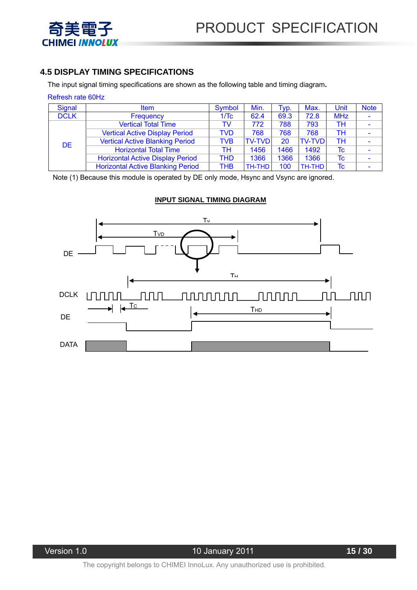![](_page_14_Picture_1.jpeg)

#### **4.5 DISPLAY TIMING SPECIFICATIONS**

The input signal timing specifications are shown as the following table and timing diagram**.**

| <b>Signal</b> | <b>Item</b>                              | Symbol     | Min.          | Typ. | Max.          | Unit       | <b>Note</b> |
|---------------|------------------------------------------|------------|---------------|------|---------------|------------|-------------|
| <b>DCLK</b>   | Frequency                                | 1/Tc       | 62.4          | 69.3 | 72.8          | <b>MHz</b> |             |
|               | <b>Vertical Total Time</b>               | TV         | 772           | 788  | 793           | TН         |             |
|               | <b>Vertical Active Display Period</b>    | TVD        | 768           | 768  | 768           | TН         |             |
| <b>DE</b>     | <b>Vertical Active Blanking Period</b>   | TVB        | <b>TV-TVD</b> | 20   | <b>TV-TVD</b> | тн         |             |
|               | <b>Horizontal Total Time</b>             | TН         | 1456          | 1466 | 1492          | Тc         |             |
|               | <b>Horizontal Active Display Period</b>  | THD        | 1366          | 1366 | 1366          | Tc         |             |
|               | <b>Horizontal Active Blanking Period</b> | <b>THB</b> | TH-THD        | 100  | TH-THD        | Tc         |             |

Note (1) Because this module is operated by DE only mode, Hsync and Vsync are ignored.

#### **INPUT SIGNAL TIMING DIAGRAM**

![](_page_14_Figure_8.jpeg)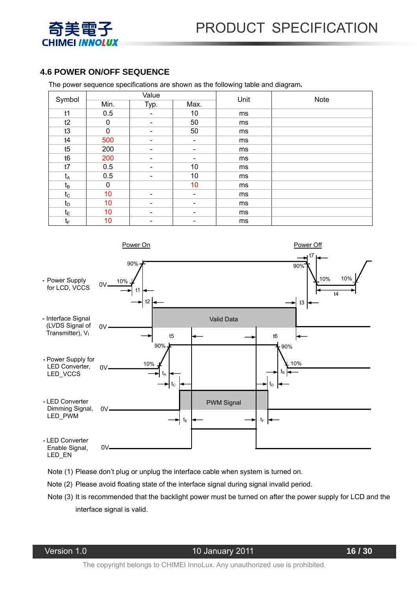![](_page_15_Picture_0.jpeg)

![](_page_15_Picture_1.jpeg)

#### **4.6 POWER ON/OFF SEQUENCE**

The power sequence specifications are shown as the following table and diagram**.** 

| Symbol           |             | Value                    |                          | Unit | Note |  |  |  |
|------------------|-------------|--------------------------|--------------------------|------|------|--|--|--|
|                  | Min.        | Typ.                     | Max.                     |      |      |  |  |  |
| t1               | 0.5         | -                        | 10                       | ms   |      |  |  |  |
| t2               | 0           | -                        | 50                       | ms   |      |  |  |  |
| t3               | $\mathbf 0$ |                          | 50                       | ms   |      |  |  |  |
| t4               | 500         |                          |                          | ms   |      |  |  |  |
| t5               | 200         |                          |                          | ms   |      |  |  |  |
| t6               | 200         |                          |                          | ms   |      |  |  |  |
| t7               | 0.5         | $\overline{\phantom{0}}$ | 10                       | ms   |      |  |  |  |
| $t_A$            | 0.5         | -                        | 10                       | ms   |      |  |  |  |
| $t_{\mathsf{B}}$ | 0           |                          | 10                       | ms   |      |  |  |  |
| $t_{\rm C}$      | 10          | $\overline{\phantom{0}}$ | $\overline{\phantom{0}}$ | ms   |      |  |  |  |
| $t_{\text{D}}$   | 10          |                          |                          | ms   |      |  |  |  |
| $t_{E}$          | 10          | -                        |                          | ms   |      |  |  |  |
| tF               | 10          | $\overline{\phantom{0}}$ | $\overline{\phantom{0}}$ | ms   |      |  |  |  |

![](_page_15_Figure_5.jpeg)

- Note (1) Please don't plug or unplug the interface cable when system is turned on.
- Note (2) Please avoid floating state of the interface signal during signal invalid period.
- Note (3) It is recommended that the backlight power must be turned on after the power supply for LCD and the interface signal is valid.

Version 1.0 10 January 2011 **16 / 30**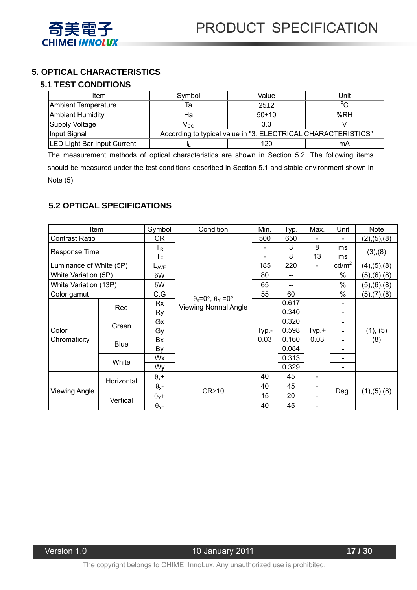![](_page_16_Picture_0.jpeg)

#### **5. OPTICAL CHARACTERISTICS**

#### **5.1 TEST CONDITIONS**

| <b>Item</b>                 | Symbol   | Value                                                         | Unit   |  |  |  |  |  |
|-----------------------------|----------|---------------------------------------------------------------|--------|--|--|--|--|--|
| Ambient Temperature         | Та       | $25+2$                                                        | $\sim$ |  |  |  |  |  |
| <b>Ambient Humidity</b>     | На       | $50+10$                                                       | %RH    |  |  |  |  |  |
| Supply Voltage              | $V_{CC}$ | 3.3                                                           |        |  |  |  |  |  |
| Input Signal                |          | According to typical value in "3. ELECTRICAL CHARACTERISTICS" |        |  |  |  |  |  |
| LED Light Bar Input Current |          | 120                                                           | mA     |  |  |  |  |  |

The measurement methods of optical characteristics are shown in Section 5.2. The following items should be measured under the test conditions described in Section 5.1 and stable environment shown in Note (5).

#### **5.2 OPTICAL SPECIFICATIONS**

| Item                    |             | Symbol                  | Condition                                                                  | Min.  | Typ.                                  | Max.                     | Unit            | Note          |
|-------------------------|-------------|-------------------------|----------------------------------------------------------------------------|-------|---------------------------------------|--------------------------|-----------------|---------------|
| <b>Contrast Ratio</b>   |             | CR                      |                                                                            | 500   | 650                                   |                          |                 | (2), (5), (8) |
|                         |             | $\mathsf{T}_\mathsf{R}$ |                                                                            |       | 3                                     | 8                        | ms              | (3),(8)       |
| Response Time           |             | $\mathsf{T}_\mathsf{F}$ |                                                                            |       | 8                                     | 13                       | ms              |               |
| Luminance of White (5P) |             | L <sub>AVE</sub>        |                                                                            | 185   | 220                                   | $\blacksquare$           | $\text{cd/m}^2$ | (4), (5), (8) |
| White Variation (5P)    |             | $\delta W$              | $\theta_x = 0^\circ$ , $\theta_y = 0^\circ$<br><b>Viewing Normal Angle</b> | 80    | $\hspace{0.05cm}$ – $\hspace{0.05cm}$ |                          | $\%$            | (5),(6),(8)   |
| White Variation (13P)   |             | $\delta W$              |                                                                            | 65    | --                                    |                          | %               | (5),(6),(8)   |
| Color gamut             |             | C.G                     |                                                                            | 55    | 60                                    |                          | $\%$            | (5),(7),(8)   |
|                         |             | <b>Rx</b>               |                                                                            |       | 0.617                                 |                          |                 |               |
|                         | Red         | <b>Ry</b>               |                                                                            |       | 0.340                                 |                          |                 |               |
|                         | Green       | Gx                      |                                                                            |       | 0.320                                 |                          |                 |               |
| Color                   |             | Gy                      |                                                                            | Typ.- | 0.598                                 | Typ.+                    |                 | (1), (5)      |
| Chromaticity            | <b>Blue</b> | Bx                      |                                                                            | 0.03  | 0.160                                 | 0.03                     |                 | (8)           |
|                         |             | By                      |                                                                            |       | 0.084                                 |                          |                 |               |
|                         | White       | Wx                      |                                                                            |       | 0.313                                 |                          |                 | (1), (5), (8) |
|                         |             | Wy                      |                                                                            |       | 0.329                                 |                          |                 |               |
|                         |             | $\theta_x$ +            |                                                                            | 40    | 45                                    | $\overline{\phantom{0}}$ |                 |               |
| Viewing Angle           | Horizontal  | $\theta_{x}$ -          |                                                                            | 40    | 45                                    | -                        |                 |               |
|                         |             | $\theta$ <sub>Y</sub> + | $CR \ge 10$                                                                | 15    | 20                                    | Deg.<br>-                |                 |               |
|                         | Vertical    | $\theta$ <sub>Y</sub> - |                                                                            | 40    | 45                                    | -                        |                 |               |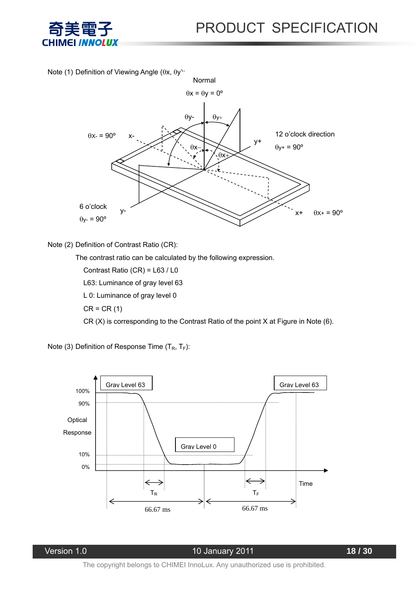![](_page_17_Picture_0.jpeg)

Note (1) Definition of Viewing Angle (θx, θy<sup>11</sup>

![](_page_17_Figure_3.jpeg)

Note (2) Definition of Contrast Ratio (CR):

The contrast ratio can be calculated by the following expression.

Contrast Ratio (CR) = L63 / L0

L63: Luminance of gray level 63

L 0: Luminance of gray level 0

 $CR = CR(1)$ 

CR (X) is corresponding to the Contrast Ratio of the point X at Figure in Note (6).

Note (3) Definition of Response Time  $(T_R, T_F)$ :

![](_page_17_Figure_12.jpeg)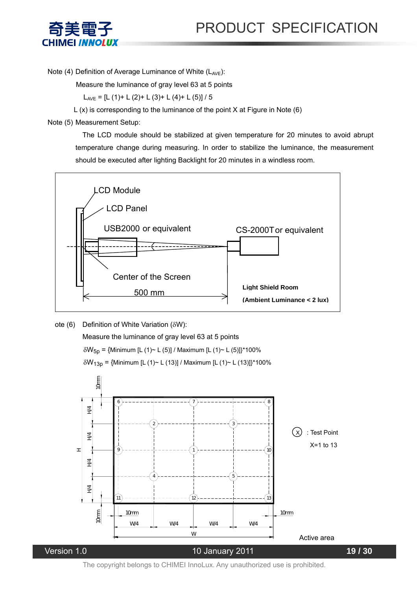![](_page_18_Picture_0.jpeg)

![](_page_18_Picture_1.jpeg)

Note (4) Definition of Average Luminance of White (LAVE):

Measure the luminance of gray level 63 at 5 points

 $L_{AVF} = [L (1) + L (2) + L (3) + L (4) + L (5)] / 5$ 

L (x) is corresponding to the luminance of the point X at Figure in Note (6)

Note (5) Measurement Setup:

 The LCD module should be stabilized at given temperature for 20 minutes to avoid abrupt temperature change during measuring. In order to stabilize the luminance, the measurement should be executed after lighting Backlight for 20 minutes in a windless room.

![](_page_18_Figure_8.jpeg)

ote (6) Definition of White Variation (δW):

Measure the luminance of gray level 63 at 5 points

 $\delta W_{5p} =$  {Minimum [L (1)~ L (5)] / Maximum [L (1)~ L (5)]}\*100%

 $\delta W_{13p} =$  {Minimum [L (1)~ L (13)] / Maximum [L (1)~ L (13)]}\*100%

![](_page_18_Figure_13.jpeg)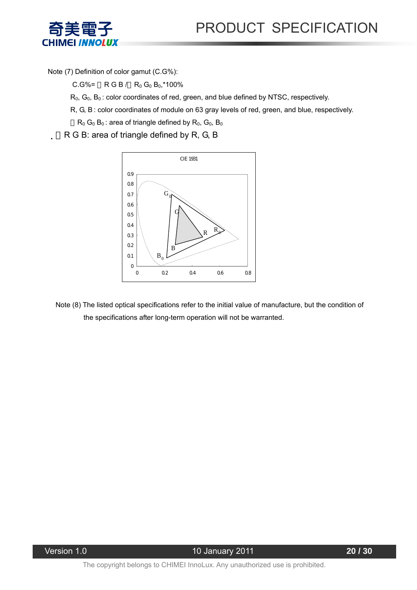![](_page_19_Figure_1.jpeg)

Note (7) Definition of color gamut (C.G%):

 $C.G%=$   $R G B / R_0 G_0 B_0$ ,\*100%

 $R_0$ ,  $G_0$ ,  $B_0$ : color coordinates of red, green, and blue defined by NTSC, respectively.

R, G, B : color coordinates of module on 63 gray levels of red, green, and blue, respectively.

 $R_0$  G<sub>0</sub> B<sub>0</sub>: area of triangle defined by  $R_0$ , G<sub>0</sub>, B<sub>0</sub>

R G B: area of triangle defined by R, G, B

![](_page_19_Figure_8.jpeg)

Note (8) The listed optical specifications refer to the initial value of manufacture, but the condition of the specifications after long-term operation will not be warranted.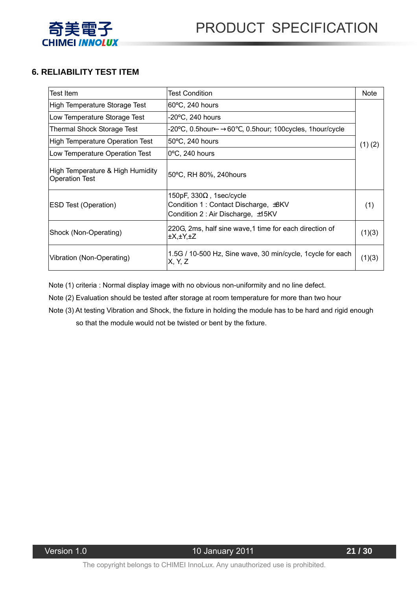![](_page_20_Picture_0.jpeg)

#### **6. RELIABILITY TEST ITEM**

| Test Item                                                 | Test Condition                                                                                            | <b>Note</b> |
|-----------------------------------------------------------|-----------------------------------------------------------------------------------------------------------|-------------|
| High Temperature Storage Test                             | $60^{\circ}$ C, 240 hours                                                                                 |             |
| Low Temperature Storage Test                              | -20°C, 240 hours                                                                                          |             |
| <b>Thermal Shock Storage Test</b>                         | -20°C, 0.5hour<br>60, 0.5 hour; 100 cycles, 1 hour/cycle                                                  |             |
| <b>High Temperature Operation Test</b>                    | 50°C, 240 hours                                                                                           | $(1)$ $(2)$ |
| Low Temperature Operation Test                            | $0^{\circ}$ C, 240 hours                                                                                  |             |
| High Temperature & High Humidity<br><b>Operation Test</b> | 50°C, RH 80%, 240hours                                                                                    |             |
| <b>ESD Test (Operation)</b>                               | 150pF, 330 ,1sec/cycle<br>Condition 1: Contact Discharge, ±8KV<br>Condition 2 : Air Discharge, $\pm$ 15KV | (1)         |
| Shock (Non-Operating)                                     | 220G, 2ms, half sine wave, 1 time for each direction of<br>$\pm X, \pm Y, \pm Z$                          | (1)(3)      |
| Vibration (Non-Operating)                                 | 1.5G / 10-500 Hz, Sine wave, 30 min/cycle, 1 cycle for each<br>X, Y, Z                                    | (1)(3)      |

Note (1) criteria : Normal display image with no obvious non-uniformity and no line defect.

Note (2) Evaluation should be tested after storage at room temperature for more than two hour

Note (3) At testing Vibration and Shock, the fixture in holding the module has to be hard and rigid enough so that the module would not be twisted or bent by the fixture.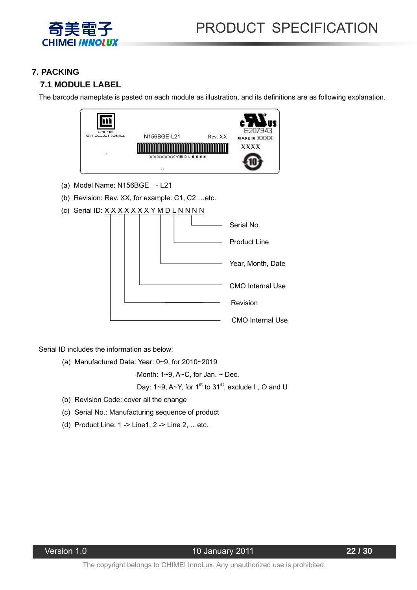![](_page_21_Picture_0.jpeg)

#### **7. PACKING**

#### **7.1 MODULE LABEL**

The barcode nameplate is pasted on each module as illustration, and its definitions are as following explanation.

![](_page_21_Figure_5.jpeg)

- (a) Model Name: N156BGE L21
- (b) Revision: Rev. XX, for example: C1, C2 …etc.
- (c) Serial ID:  $X$   $X$   $X$   $X$   $X$   $X$   $Y$   $M$   $D$   $L$   $N$   $N$   $N$

![](_page_21_Figure_9.jpeg)

Serial ID includes the information as below:

(a) Manufactured Date: Year: 0~9, for 2010~2019

Month:  $1~9$ ,  $A~C$ , for Jan.  $\sim$  Dec.

Day: 1~9, A~Y, for 1<sup>st</sup> to 31<sup>st</sup>, exclude I, O and U

- (b) Revision Code: cover all the change
- (c) Serial No.: Manufacturing sequence of product
- (d) Product Line: 1 -> Line1, 2 -> Line 2, …etc.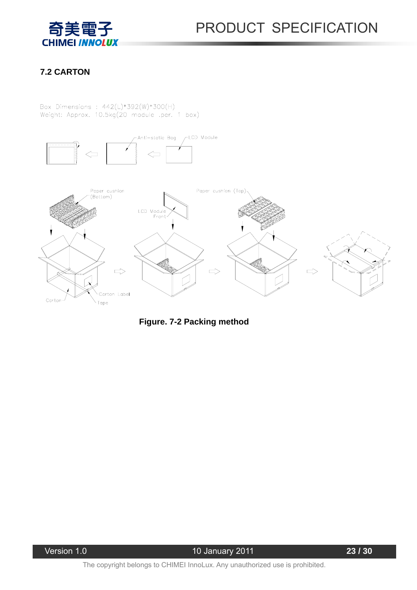![](_page_22_Picture_0.jpeg)

PRODUCT SPECIFICATION

#### **7.2 CARTON**

Box Dimensions : 442(L)\*392(W)\*300(H) Weight: Approx. 10.5kg(20 module .per. 1 box)

![](_page_22_Figure_4.jpeg)

![](_page_22_Figure_5.jpeg)

![](_page_22_Figure_6.jpeg)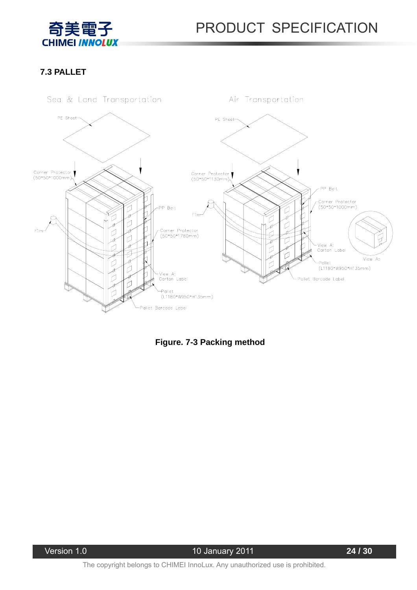![](_page_23_Picture_0.jpeg)

PRODUCT SPECIFICATION

#### **7.3 PALLET**

![](_page_23_Figure_3.jpeg)

**Figure. 7-3 Packing method**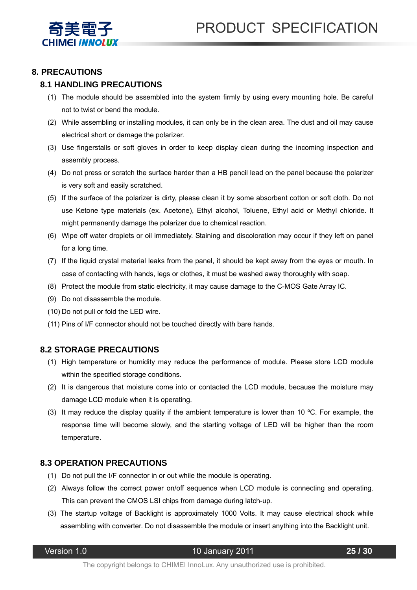![](_page_24_Picture_0.jpeg)

![](_page_24_Picture_1.jpeg)

#### **8. PRECAUTIONS**

#### **8.1 HANDLING PRECAUTIONS**

- (1) The module should be assembled into the system firmly by using every mounting hole. Be careful not to twist or bend the module.
- (2) While assembling or installing modules, it can only be in the clean area. The dust and oil may cause electrical short or damage the polarizer.
- (3) Use fingerstalls or soft gloves in order to keep display clean during the incoming inspection and assembly process.
- (4) Do not press or scratch the surface harder than a HB pencil lead on the panel because the polarizer is very soft and easily scratched.
- (5) If the surface of the polarizer is dirty, please clean it by some absorbent cotton or soft cloth. Do not use Ketone type materials (ex. Acetone), Ethyl alcohol, Toluene, Ethyl acid or Methyl chloride. It might permanently damage the polarizer due to chemical reaction.
- (6) Wipe off water droplets or oil immediately. Staining and discoloration may occur if they left on panel for a long time.
- (7) If the liquid crystal material leaks from the panel, it should be kept away from the eyes or mouth. In case of contacting with hands, legs or clothes, it must be washed away thoroughly with soap.
- (8) Protect the module from static electricity, it may cause damage to the C-MOS Gate Array IC.
- (9) Do not disassemble the module.
- (10) Do not pull or fold the LED wire.
- (11) Pins of I/F connector should not be touched directly with bare hands.

#### **8.2 STORAGE PRECAUTIONS**

- (1) High temperature or humidity may reduce the performance of module. Please store LCD module within the specified storage conditions.
- (2) It is dangerous that moisture come into or contacted the LCD module, because the moisture may damage LCD module when it is operating.
- (3) It may reduce the display quality if the ambient temperature is lower than 10 ºC. For example, the response time will become slowly, and the starting voltage of LED will be higher than the room temperature.

#### **8.3 OPERATION PRECAUTIONS**

- (1) Do not pull the I/F connector in or out while the module is operating.
- (2) Always follow the correct power on/off sequence when LCD module is connecting and operating. This can prevent the CMOS LSI chips from damage during latch-up.
- (3) The startup voltage of Backlight is approximately 1000 Volts. It may cause electrical shock while assembling with converter. Do not disassemble the module or insert anything into the Backlight unit.

#### Version 1.0 10 January 2011 **25 / 30**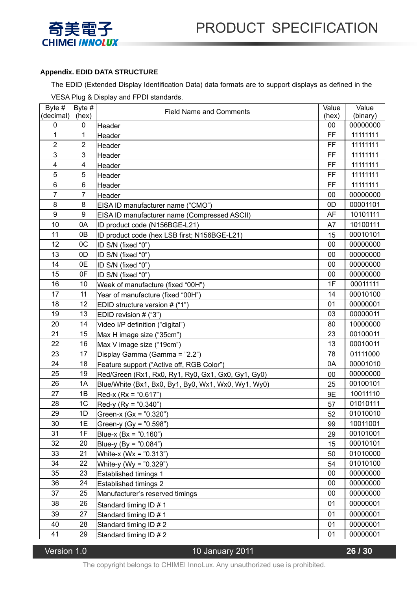![](_page_25_Picture_0.jpeg)

#### **Appendix. EDID DATA STRUCTURE**

The EDID (Extended Display Identification Data) data formats are to support displays as defined in the

VESA Plug & Display and FPDI standards.

| Byte #                  | Byte $\overline{H}$ | <b>Field Name and Comments</b>                      | Value     | Value    |
|-------------------------|---------------------|-----------------------------------------------------|-----------|----------|
| (decimal)               | (hex)               |                                                     | (hex)     | (binary) |
| $\mathbf 0$             | 0                   | Header                                              | 00        | 00000000 |
| 1                       | 1                   | Header                                              | <b>FF</b> | 11111111 |
| $\overline{2}$          | $\overline{2}$      | Header                                              | <b>FF</b> | 11111111 |
| 3                       | 3                   | Header                                              | <b>FF</b> | 11111111 |
| $\overline{\mathbf{4}}$ | 4                   | Header                                              | <b>FF</b> | 11111111 |
| 5                       | 5                   | Header                                              | <b>FF</b> | 11111111 |
| 6                       | 6                   | Header                                              | FF        | 11111111 |
| $\overline{7}$          | $\overline{7}$      | Header                                              | 00        | 00000000 |
| 8                       | 8                   | EISA ID manufacturer name ("CMO")                   | 0D        | 00001101 |
| 9                       | 9                   | EISA ID manufacturer name (Compressed ASCII)        | AF        | 10101111 |
| 10                      | 0A                  | ID product code (N156BGE-L21)                       | A7        | 10100111 |
| 11                      | 0B                  | ID product code (hex LSB first; N156BGE-L21)        | 15        | 00010101 |
| 12                      | 0C                  | ID S/N (fixed "0")                                  | 00        | 00000000 |
| 13                      | 0D                  | ID S/N (fixed "0")                                  | 00        | 00000000 |
| 14                      | 0E                  | ID S/N (fixed "0")                                  | 00        | 00000000 |
| 15                      | 0F                  | ID S/N (fixed "0")                                  | 00        | 00000000 |
| 16                      | 10                  | Week of manufacture (fixed "00H")                   | 1F        | 00011111 |
| 17                      | 11                  | Year of manufacture (fixed "00H")                   | 14        | 00010100 |
| 18                      | 12                  | EDID structure version # ("1")                      | 01        | 00000001 |
| 19                      | 13                  | EDID revision # ("3")                               | 03        | 00000011 |
| 20                      | 14                  | Video I/P definition ("digital")                    | 80        | 10000000 |
| 21                      | 15                  | Max H image size ("35cm")                           | 23        | 00100011 |
| 22                      | 16                  | Max V image size ("19cm")                           | 13        | 00010011 |
| 23                      | 17                  | Display Gamma (Gamma = "2.2")                       | 78        | 01111000 |
| 24                      | 18                  | Feature support ("Active off, RGB Color")           | 0A        | 00001010 |
| 25                      | 19                  | Red/Green (Rx1, Rx0, Ry1, Ry0, Gx1, Gx0, Gy1, Gy0)  | 00        | 00000000 |
| 26                      | 1A                  | Blue/White (Bx1, Bx0, By1, By0, Wx1, Wx0, Wy1, Wy0) | 25        | 00100101 |
| 27                      | 1B                  | $Red-x (Rx = "0.617")$                              | 9E        | 10011110 |
| 28                      | 1 <sup>C</sup>      | Red-y $(Ry = 0.340)$                                | 57        | 01010111 |
| 29                      | 1D                  | Green-x $(Gx = "0.320")$                            | 52        | 01010010 |
| 30                      | 1E                  | Green-y $(Gy = "0.598")$                            | 99        | 10011001 |
| 31                      | 1F                  | Blue-x (Bx = $"0.160"$ )                            | 29        | 00101001 |
| 32                      | 20                  | Blue-y (By = $"0.084"$ )                            | 15        | 00010101 |
| 33                      | 21                  | White-x (Wx = "0.313")                              | 50        | 01010000 |
| 34                      | 22                  | White-y (Wy = "0.329")                              | 54        | 01010100 |
| 35                      | 23                  | <b>Established timings 1</b>                        | 00        | 00000000 |
| 36                      | 24                  | <b>Established timings 2</b>                        | 00        | 00000000 |
| 37                      | 25                  | Manufacturer's reserved timings                     | 00        | 00000000 |
| 38                      | 26                  | Standard timing ID # 1                              | 01        | 00000001 |
| 39                      | 27                  | Standard timing ID # 1                              | 01        | 00000001 |
| 40                      | 28                  | Standard timing ID # 2                              | 01        | 00000001 |
| 41                      | 29                  | Standard timing ID # 2                              | 01        | 00000001 |

#### Version 1.0 10 January 2011 **26 / 30**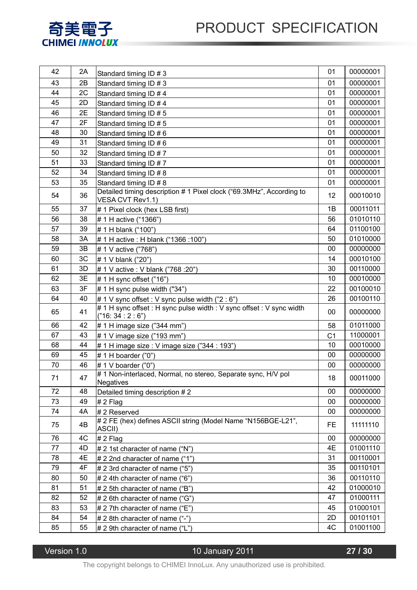![](_page_26_Picture_0.jpeg)

| 42 | 2A | Standard timing ID # 3                                                                   | 01             | 00000001 |
|----|----|------------------------------------------------------------------------------------------|----------------|----------|
| 43 | 2B | Standard timing ID # 3                                                                   | 01             | 00000001 |
| 44 | 2C | Standard timing ID # 4                                                                   | 01             | 00000001 |
| 45 | 2D | Standard timing ID #4                                                                    | 01             | 00000001 |
| 46 | 2E | Standard timing ID # 5                                                                   | 01             | 00000001 |
| 47 | 2F | Standard timing ID # 5                                                                   | 01             | 00000001 |
| 48 | 30 | Standard timing ID # 6                                                                   | 01             | 00000001 |
| 49 | 31 | Standard timing ID # 6                                                                   | 01             | 00000001 |
| 50 | 32 | Standard timing ID #7                                                                    | 01             | 00000001 |
| 51 | 33 | Standard timing ID #7                                                                    | 01             | 00000001 |
| 52 | 34 | Standard timing ID # 8                                                                   | 01             | 00000001 |
| 53 | 35 | Standard timing ID # 8                                                                   | 01             | 00000001 |
| 54 | 36 | Detailed timing description # 1 Pixel clock ("69.3MHz", According to<br>VESA CVT Rev1.1) | 12             | 00010010 |
| 55 | 37 | # 1 Pixel clock (hex LSB first)                                                          | 1B             | 00011011 |
| 56 | 38 | # 1 H active ("1366")                                                                    | 56             | 01010110 |
| 57 | 39 | # 1 H blank ("100")                                                                      | 64             | 01100100 |
| 58 | 3A | # 1 H active : H blank ("1366 :100")                                                     | 50             | 01010000 |
| 59 | 3B | # 1 V active ("768")                                                                     | 00             | 00000000 |
| 60 | 3C | # 1 V blank ("20")                                                                       | 14             | 00010100 |
| 61 | 3D | # 1 V active : V blank ("768 :20")                                                       | 30             | 00110000 |
| 62 | 3E | # 1 H sync offset ("16")                                                                 | 10             | 00010000 |
| 63 | 3F | # 1 H sync pulse width ("34")                                                            | 22             | 00100010 |
| 64 | 40 | # 1 V sync offset : V sync pulse width ("2 : 6")                                         | 26             | 00100110 |
| 65 | 41 | #1 H sync offset: H sync pulse width: V sync offset: V sync width<br>("16:34:2:6")       | 00             | 00000000 |
| 66 | 42 | $\#$ 1 H image size ("344 mm")                                                           | 58             | 01011000 |
| 67 | 43 | # 1 V image size ("193 mm")                                                              | C <sub>1</sub> | 11000001 |
| 68 | 44 | # 1 H image size : V image size ("344 : 193")                                            | 10             | 00010000 |
| 69 | 45 | # 1 H boarder $("0")$                                                                    | 00             | 00000000 |
| 70 | 46 | # 1 V boarder $("0")$                                                                    | 00             | 00000000 |
| 71 | 47 | # 1 Non-interlaced, Normal, no stereo, Separate sync, H/V pol<br>Negatives               | 18             | 00011000 |
| 72 | 48 | Detailed timing description #2                                                           | 00             | 00000000 |
| 73 | 49 | $# 2$ Flag                                                                               | 00             | 00000000 |
| 74 | 4A | # 2 Reserved                                                                             | 00             | 00000000 |
| 75 | 4B | # 2 FE (hex) defines ASCII string (Model Name "N156BGE-L21",<br>ASCII)                   | <b>FE</b>      | 11111110 |
| 76 | 4C | # 2 Flag                                                                                 | 00             | 00000000 |
| 77 | 4D | $\#$ 2 1st character of name ("N")                                                       | 4E             | 01001110 |
| 78 | 4E | $\#$ 2 2nd character of name ("1")                                                       | 31             | 00110001 |
| 79 | 4F | $# 2 3$ rd character of name ("5")                                                       | 35             | 00110101 |
| 80 | 50 | $\#$ 2 4th character of name ("6")                                                       | 36             | 00110110 |
| 81 | 51 | $\#$ 2 5th character of name ("B")                                                       | 42             | 01000010 |
| 82 | 52 | $\#$ 2 6th character of name ("G")                                                       | 47             | 01000111 |
| 83 | 53 | # 2 7th character of name ("E")                                                          | 45             | 01000101 |
| 84 | 54 | $\#$ 2 8th character of name ("-")                                                       | 2D             | 00101101 |
| 85 | 55 | # 2 9th character of name $("L")$                                                        | 4C             | 01001100 |

## Version 1.0 10 January 2011 **27 / 30**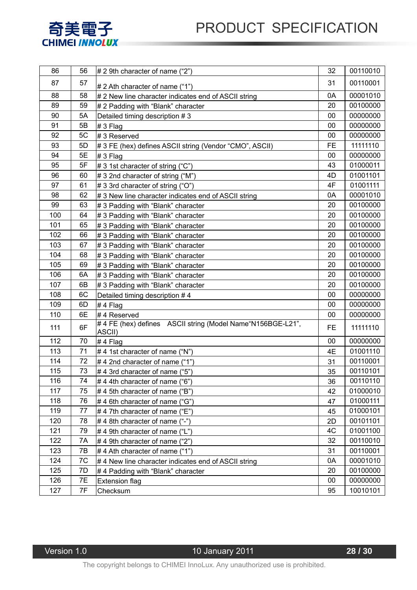![](_page_27_Picture_0.jpeg)

# PRODUCT SPECIFICATION

| 86  | 56 | $\#$ 2 9th character of name ("2")                                    | 32        | 00110010 |
|-----|----|-----------------------------------------------------------------------|-----------|----------|
| 87  | 57 | # 2 Ath character of name ("1")                                       | 31        | 00110001 |
| 88  | 58 | # 2 New line character indicates end of ASCII string                  | 0A        | 00001010 |
| 89  | 59 | # 2 Padding with "Blank" character                                    | 20        | 00100000 |
| 90  | 5A | Detailed timing description #3                                        | 00        | 00000000 |
| 91  | 5B | $# 3$ Flag                                                            | 00        | 00000000 |
| 92  | 5C | #3 Reserved                                                           | 00        | 00000000 |
| 93  | 5D | # 3 FE (hex) defines ASCII string (Vendor "CMO", ASCII)               | <b>FE</b> | 11111110 |
| 94  | 5E | $# 3$ Flag                                                            | 00        | 00000000 |
| 95  | 5F | # 3 1st character of string ("C")                                     | 43        | 01000011 |
| 96  | 60 | # 3 2nd character of string ("M")                                     | 4D        | 01001101 |
| 97  | 61 | # 3 3rd character of string ("O")                                     | 4F        | 01001111 |
| 98  | 62 | # 3 New line character indicates end of ASCII string                  | 0A        | 00001010 |
| 99  | 63 | # 3 Padding with "Blank" character                                    | 20        | 00100000 |
| 100 | 64 | #3 Padding with "Blank" character                                     | 20        | 00100000 |
| 101 | 65 | # 3 Padding with "Blank" character                                    | 20        | 00100000 |
| 102 | 66 | # 3 Padding with "Blank" character                                    | 20        | 00100000 |
| 103 | 67 | # 3 Padding with "Blank" character                                    | 20        | 00100000 |
| 104 | 68 | # 3 Padding with "Blank" character                                    | 20        | 00100000 |
| 105 | 69 | # 3 Padding with "Blank" character                                    | 20        | 00100000 |
| 106 | 6A | # 3 Padding with "Blank" character                                    | 20        | 00100000 |
| 107 | 6B | # 3 Padding with "Blank" character                                    | 20        | 00100000 |
| 108 | 6C | Detailed timing description #4                                        | 00        | 00000000 |
| 109 | 6D | #4 Flag                                                               | 00        | 00000000 |
| 110 | 6E | #4 Reserved                                                           | 00        | 00000000 |
| 111 | 6F | #4 FE (hex) defines ASCII string (Model Name "N156BGE-L21",<br>ASCII) | <b>FE</b> | 11111110 |
| 112 | 70 | #4 Flag                                                               | 00        | 00000000 |
| 113 | 71 | #4 1st character of name ("N")                                        | 4E        | 01001110 |
| 114 | 72 | $\#$ 4 2nd character of name ("1")                                    | 31        | 00110001 |
| 115 | 73 | #4 3rd character of name ("5")                                        | 35        | 00110101 |
| 116 | 74 | #44th character of name ("6")                                         | 36        | 00110110 |
| 117 | 75 | #4 5th character of name ("B")                                        | 42        | 01000010 |
| 118 | 76 | #4 6th character of name ("G")                                        | 47        | 01000111 |
| 119 | 77 | #47th character of name ("E")                                         | 45        | 01000101 |
| 120 | 78 | #4 8th character of name ("-")                                        | 2D        | 00101101 |
| 121 | 79 | #4 9th character of name ("L")                                        | 4C        | 01001100 |
| 122 | 7A | #4 9th character of name $("2")$                                      | 32        | 00110010 |
| 123 | 7B | #4 Ath character of name ("1")                                        | 31        | 00110001 |
| 124 | 7C | #4 New line character indicates end of ASCII string                   | 0A        | 00001010 |
| 125 | 7D | #4 Padding with "Blank" character                                     | 20        | 00100000 |
| 126 | 7E | <b>Extension flag</b>                                                 | 00        | 00000000 |
| 127 | 7F | Checksum                                                              | 95        | 10010101 |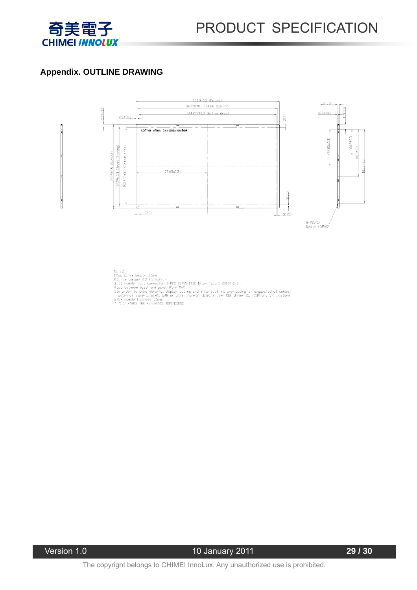![](_page_28_Picture_0.jpeg)

#### **Appendix. OUTLINE DRAWING**

![](_page_28_Figure_3.jpeg)

NOTES:<br>
IMax screw torque: 2.3-2.5<br>
2.Screw torque: 2.3-2.5 kgf-cn.<br>
3.LCD module input connector: 1-PEX 20455-040E-12 or Tyco 5-2069716-3 .<br>
4.Gap between bezel and panel: 0.5mm MAX.<br>
5.In order to avoid abnormal display,

Version 1.0 10 January 2011 **29 / 30**